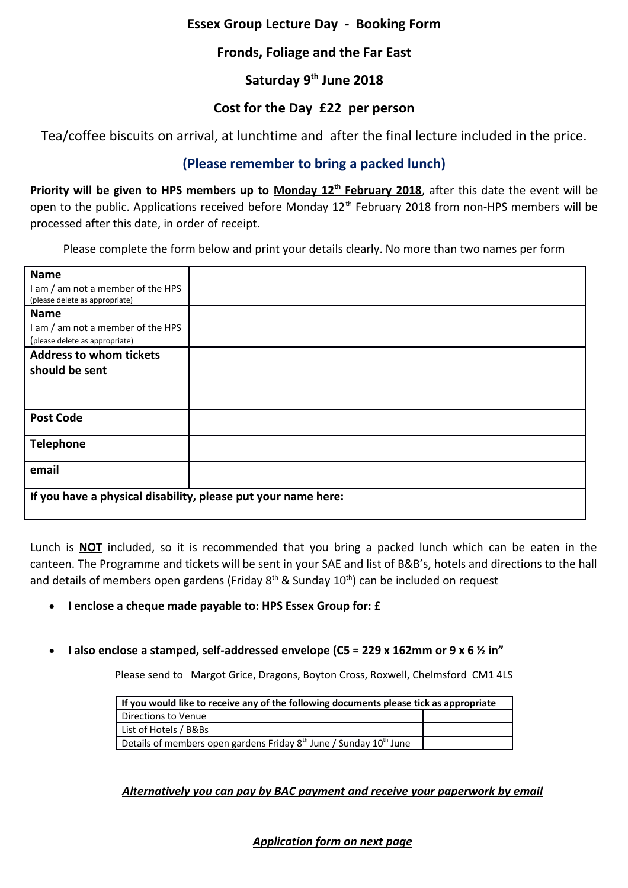### **Essex Group Lecture Day - Booking Form**

## **Fronds, Foliage and the Far East**

# **Saturday 9th June 2018**

### **Cost for the Day £22 per person**

Tea/coffee biscuits on arrival, at lunchtime and after the final lecture included in the price.

# **(Please remember to bring a packed lunch)**

Priority will be given to HPS members up to Monday 12<sup>th</sup> February 2018, after this date the event will be open to the public. Applications received before Monday 12<sup>th</sup> February 2018 from non-HPS members will be processed after this date, in order of receipt.

Please complete the form below and print your details clearly. No more than two names per form

| <b>Name</b>                                                   |  |  |
|---------------------------------------------------------------|--|--|
| I am / am not a member of the HPS                             |  |  |
| (please delete as appropriate)                                |  |  |
| <b>Name</b>                                                   |  |  |
| I am / am not a member of the HPS                             |  |  |
| (please delete as appropriate)                                |  |  |
| <b>Address to whom tickets</b>                                |  |  |
| should be sent                                                |  |  |
|                                                               |  |  |
|                                                               |  |  |
| <b>Post Code</b>                                              |  |  |
|                                                               |  |  |
|                                                               |  |  |
| <b>Telephone</b>                                              |  |  |
|                                                               |  |  |
| email                                                         |  |  |
|                                                               |  |  |
| If you have a physical disability, please put your name here: |  |  |
|                                                               |  |  |

Lunch is **NOT** included, so it is recommended that you bring a packed lunch which can be eaten in the canteen. The Programme and tickets will be sent in your SAE and list of B&B's, hotels and directions to the hall and details of members open gardens (Friday  $8<sup>th</sup>$  & Sunday  $10<sup>th</sup>$ ) can be included on request

- **I enclose a cheque made payable to: HPS Essex Group for: £**
- **I also enclose a stamped, self-addressed envelope (C5 = 229 x 162mm or 9 x 6 ½ in"**

Please send to Margot Grice, Dragons, Boyton Cross, Roxwell, Chelmsford CM1 4LS

| If you would like to receive any of the following documents please tick as appropriate     |  |  |
|--------------------------------------------------------------------------------------------|--|--|
| Directions to Venue                                                                        |  |  |
| List of Hotels / B&Bs                                                                      |  |  |
| Details of members open gardens Friday 8 <sup>th</sup> June / Sunday 10 <sup>th</sup> June |  |  |

### *Alternatively you can pay by BAC payment and receive your paperwork by email*

### *Application form on next page*